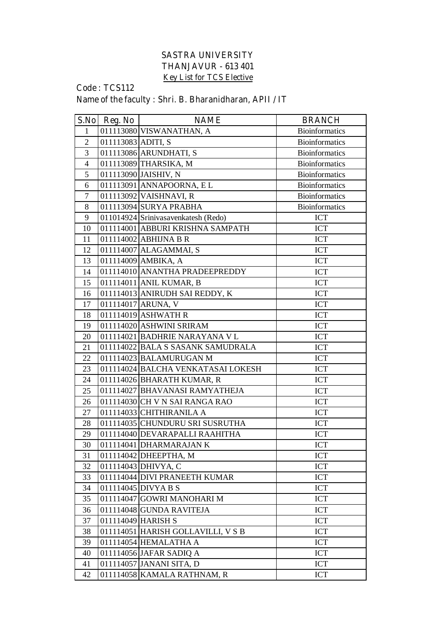## **SASTRA UNIVERSITY THANJAVUR - 613 401 Key List for TCS Elective**

## **Code : TCS112 Name of the faculty : Shri. B. Bharanidharan, APII / IT**

| S.No           | Reg. No            | <b>NAME</b>                         | <b>BRANCH</b>         |
|----------------|--------------------|-------------------------------------|-----------------------|
| 1              |                    | 011113080 VISWANATHAN, A            | <b>Bioinformatics</b> |
| $\overline{2}$ | 011113083 ADITI, S |                                     | <b>Bioinformatics</b> |
| 3              |                    | 011113086 ARUNDHATI, S              | <b>Bioinformatics</b> |
| $\overline{4}$ |                    | 011113089 THARSIKA, M               | <b>Bioinformatics</b> |
| 5              |                    | 011113090 JAISHIV, N                | <b>Bioinformatics</b> |
| 6              |                    | 011113091 ANNAPOORNA, EL            | <b>Bioinformatics</b> |
| $\overline{7}$ |                    | 011113092 VAISHNAVI, R              | <b>Bioinformatics</b> |
| 8              |                    | 011113094 SURYA PRABHA              | <b>Bioinformatics</b> |
| 9              |                    | 011014924 Srinivasavenkatesh (Redo) | <b>ICT</b>            |
| 10             |                    | 011114001 ABBURI KRISHNA SAMPATH    | <b>ICT</b>            |
| 11             |                    | 011114002 ABHIJNA B R               | <b>ICT</b>            |
| 12             |                    | 011114007 ALAGAMMAI, S              | <b>ICT</b>            |
| 13             |                    | 011114009 AMBIKA, A                 | <b>ICT</b>            |
| 14             |                    | 011114010 ANANTHA PRADEEPREDDY      | <b>ICT</b>            |
| 15             |                    | 011114011 ANIL KUMAR, B             | ICT                   |
| 16             |                    | 011114013 ANIRUDH SAI REDDY, K      | <b>ICT</b>            |
| 17             |                    | 011114017 ARUNA, V                  | <b>ICT</b>            |
| 18             |                    | 011114019 ASHWATH R                 | <b>ICT</b>            |
| 19             |                    | 011114020 ASHWINI SRIRAM            | <b>ICT</b>            |
| 20             |                    | 011114021 BADHRIE NARAYANA V L      | <b>ICT</b>            |
| 21             |                    | 011114022 BALA S SASANK SAMUDRALA   | <b>ICT</b>            |
| 22             |                    | 011114023 BALAMURUGAN M             | <b>ICT</b>            |
| 23             |                    | 011114024 BALCHA VENKATASAI LOKESH  | <b>ICT</b>            |
| 24             |                    | 011114026 BHARATH KUMAR, R          | <b>ICT</b>            |
| 25             |                    | 011114027 BHAVANASI RAMYATHEJA      | <b>ICT</b>            |
| 26             |                    | 011114030 CH V N SAI RANGA RAO      | <b>ICT</b>            |
| 27             |                    | $011114033$ CHITHIRANILA A          | <b>ICT</b>            |
| 28             |                    | 011114035 CHUNDURU SRI SUSRUTHA     | <b>ICT</b>            |
| 29             |                    | 011114040 DEVARAPALLI RAAHITHA      | <b>ICT</b>            |
| 30             |                    | 011114041 DHARMARAJAN K             | ICT                   |
| 31             |                    | 011114042 DHEEPTHA, M               | <b>ICT</b>            |
| 32             |                    | 011114043 DHIVYA, C                 | ICT                   |
| 33             |                    | 011114044 DIVI PRANEETH KUMAR       | ICT                   |
| 34             |                    | 011114045 DIVYA B S                 | <b>ICT</b>            |
| 35             |                    | 011114047 GOWRI MANOHARI M          | <b>ICT</b>            |
| 36             |                    | 011114048 GUNDA RAVITEJA            | <b>ICT</b>            |
| 37             |                    | 011114049 HARISH S                  | <b>ICT</b>            |
| 38             |                    | 011114051 HARISH GOLLAVILLI, V S B  | <b>ICT</b>            |
| 39             |                    | 011114054 HEMALATHA A               | ICT                   |
| 40             |                    | 011114056 JAFAR SADIQ A             | ICT                   |
| 41             |                    | 011114057 JANANI SITA, D            | ICT                   |
| 42             |                    | 011114058 KAMALA RATHNAM, R         | ICT                   |